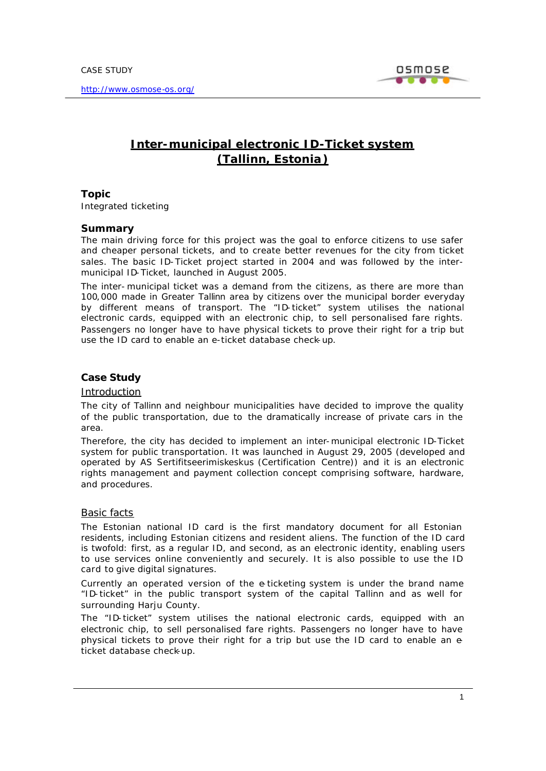

# **Inter-municipal electronic ID-Ticket system (Tallinn, Estonia)**

## **Topic**

Integrated ticketing

### **Summary**

The main driving force for this project was the goal to enforce citizens to use safer and cheaper personal tickets, and to create better revenues for the city from ticket sales. The basic ID-Ticket project started in 2004 and was followed by the intermunicipal ID-Ticket, launched in August 2005.

The inter- municipal ticket was a demand from the citizens, as there are more than 100,000 made in Greater Tallinn area by citizens over the municipal border everyday by different means of transport. The "ID-ticket" system utilises the national electronic cards, equipped with an electronic chip, to sell personalised fare rights. Passengers no longer have to have physical tickets to prove their right for a trip but use the ID card to enable an e-ticket database check-up.

## **Case Study**

### *Introduction*

The city of Tallinn and neighbour municipalities have decided to improve the quality of the public transportation, due to the dramatically increase of private cars in the area.

Therefore, the city has decided to implement an inter-municipal electronic ID-Ticket system for public transportation. It was launched in August 29, 2005 (developed and operated by AS Sertifitseerimiskeskus (Certification Centre)) and it is an electronic rights management and payment collection concept comprising software, hardware, and procedures.

## *Basic facts*

The Estonian national ID card is the first mandatory document for all Estonian residents, including Estonian citizens and resident aliens. The function of the ID card is twofold: first, as a regular ID, and second, as an electronic identity, enabling users to use services online conveniently and securely. It is also possible to use the ID card to give digital signatures.

Currently an operated version of the e-ticketing system is under the brand name "ID-ticket" in the public transport system of the capital Tallinn and as well for surrounding Harju County.

The "ID-ticket" system utilises the national electronic cards, equipped with an electronic chip, to sell personalised fare rights. Passengers no longer have to have physical tickets to prove their right for a trip but use the ID card to enable an eticket database check-up.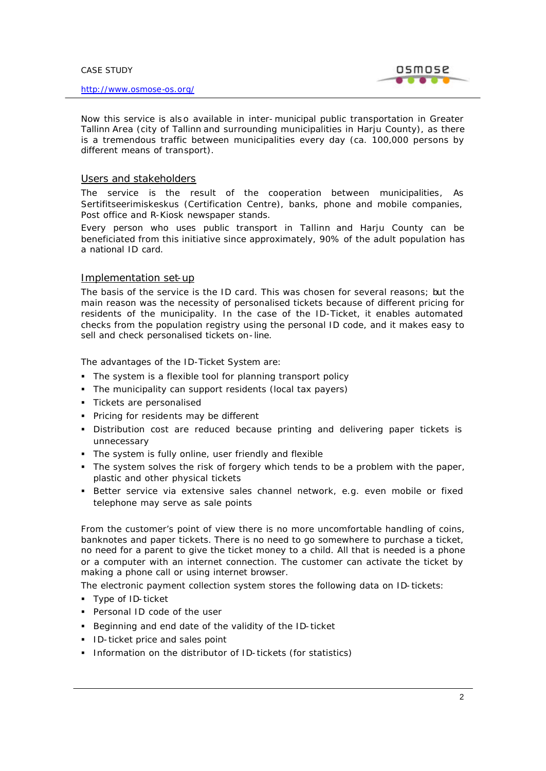

Now this service is also available in inter-municipal public transportation in Greater Tallinn Area (city of Tallinn and surrounding municipalities in Harju County), as there is a tremendous traffic between municipalities every day (ca. 100,000 persons by different means of transport).

## *Users and stakeholders*

The service is the result of the cooperation between municipalities, As Sertifitseerimiskeskus (Certification Centre), banks, phone and mobile companies, Post office and R-Kiosk newspaper stands.

Every person who uses public transport in Tallinn and Harju County can be beneficiated from this initiative since approximately, 90% of the adult population has a national ID card.

## *Implementation set-up*

The basis of the service is the ID card. This was chosen for several reasons; but the main reason was the necessity of personalised tickets because of different pricing for residents of the municipality. In the case of the ID-Ticket, it enables automated checks from the population registry using the personal ID code, and it makes easy to sell and check personalised tickets on-line.

The advantages of the ID-Ticket System are:

- The system is a flexible tool for planning transport policy
- The municipality can support residents (local tax payers)
- **Tickets are personalised**
- **Pricing for residents may be different**
- **•** Distribution cost are reduced because printing and delivering paper tickets is unnecessary
- The system is fully online, user friendly and flexible
- The system solves the risk of forgery which tends to be a problem with the paper, plastic and other physical tickets
- **Better service via extensive sales channel network, e.g. even mobile or fixed** telephone may serve as sale points

From the customer's point of view there is no more uncomfortable handling of coins, banknotes and paper tickets. There is no need to go somewhere to purchase a ticket, no need for a parent to give the ticket money to a child. All that is needed is a phone or a computer with an internet connection. The customer can activate the ticket by making a phone call or using internet browser.

The electronic payment collection system stores the following data on ID-tickets:

- **Type of ID-ticket**
- **Personal ID code of the user**
- Beginning and end date of the validity of the ID-ticket
- **ID-ticket price and sales point**
- **Information on the distributor of ID-tickets (for statistics)**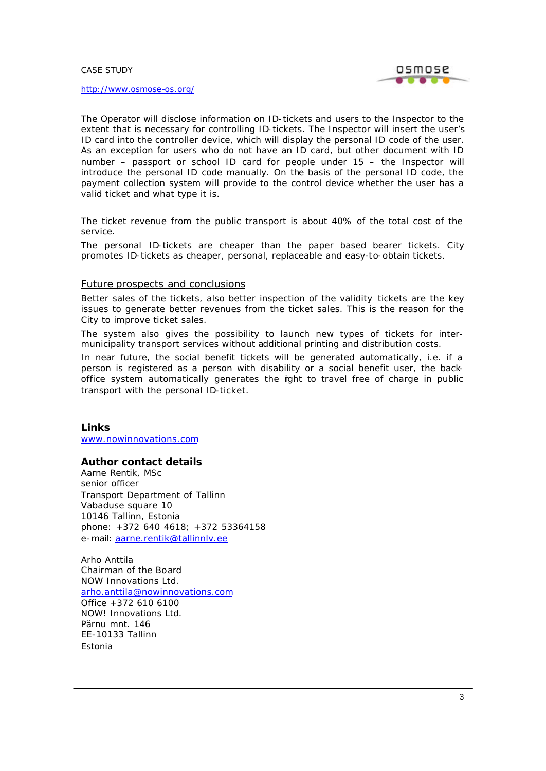

The Operator will disclose information on ID-tickets and users to the Inspector to the extent that is necessary for controlling ID-tickets. The Inspector will insert the user's ID card into the controller device, which will display the personal ID code of the user. As an exception for users who do not have an ID card, but other document with ID number – passport or school ID card for people under 15 – the Inspector will introduce the personal ID code manually. On the basis of the personal ID code, the payment collection system will provide to the control device whether the user has a valid ticket and what type it is.

The ticket revenue from the public transport is about 40% of the total cost of the service.

The personal ID-tickets are cheaper than the paper based bearer tickets. City promotes ID-tickets as cheaper, personal, replaceable and easy-to-obtain tickets.

#### *Future prospects and conclusions*

Better sales of the tickets, also better inspection of the validity tickets are the key issues to generate better revenues from the ticket sales. This is the reason for the City to improve ticket sales.

The system also gives the possibility to launch new types of tickets for intermunicipality transport services without additional printing and distribution costs.

In near future, the social benefit tickets will be generated automatically, i.e. if a person is registered as a person with disability or a social benefit user, the backoffice system automatically generates the rght to travel free of charge in public transport with the personal ID-ticket.

### **Links**

www.nowinnovations.com

### **Author contact details**

Aarne Rentik, MSc senior officer Transport Department of Tallinn Vabaduse square 10 10146 Tallinn, Estonia phone: +372 640 4618; +372 53364158 e-mail: aarne.rentik@tallinnlv.ee

Arho Anttila Chairman of the Board NOW Innovations Ltd. arho.anttila@nowinnovations.com Office +372 610 6100 NOW! Innovations Ltd. Pärnu mnt. 146 EE-10133 Tallinn Estonia